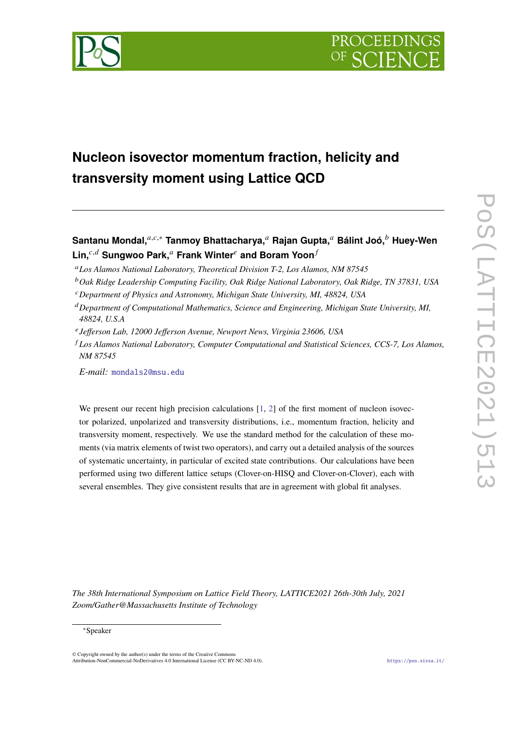



# **Nucleon isovector momentum fraction, helicity and transversity moment using Lattice QCD**

- *Los Alamos National Laboratory, Theoretical Division T-2, Los Alamos, NM 87545*
- *Oak Ridge Leadership Computing Facility, Oak Ridge National Laboratory, Oak Ridge, TN 37831, USA*
- *Department of Physics and Astronomy, Michigan State University, MI, 48824, USA*
- *Department of Computational Mathematics, Science and Engineering, Michigan State University, MI, 48824, U.S.A*
- *Jefferson Lab, 12000 Jefferson Avenue, Newport News, Virginia 23606, USA*
- *Los Alamos National Laboratory, Computer Computational and Statistical Sciences, CCS-7, Los Alamos, NM 87545*

*E-mail:* [mondals2@msu.edu](mailto:mondals2@msu.edu)

We present our recent high precision calculations  $[1, 2]$  $[1, 2]$  $[1, 2]$  of the first moment of nucleon isovector polarized, unpolarized and transversity distributions, i.e., momentum fraction, helicity and transversity moment, respectively. We use the standard method for the calculation of these moments (via matrix elements of twist two operators), and carry out a detailed analysis of the sources of systematic uncertainty, in particular of excited state contributions. Our calculations have been performed using two different lattice setups (Clover-on-HISQ and Clover-on-Clover), each with several ensembles. They give consistent results that are in agreement with global fit analyses.

*The 38th International Symposium on Lattice Field Theory, LATTICE2021 26th-30th July, 2021 Zoom/Gather@Massachusetts Institute of Technology*

#### <sup>∗</sup>Speaker

 $\odot$  Copyright owned by the author(s) under the terms of the Creative Common Attribution-NonCommercial-NoDerivatives 4.0 International License (CC BY-NC-ND 4.0). <https://pos.sissa.it/>

**Santanu Mondal,**<sup>a, $c,∗$ </sup> **Tanmoy Bhattacharya,** <sup>a</sup> Rajan Gupta, <sup>a</sup> Bálint Joó, <sup>b</sup> Huey-Wen Lin,<sup>*c,d*</sup> Sungwoo Park,<sup>*a*</sup> Frank Winter<sup>*e*</sup> and Boram Yoon<sup>*f*</sup>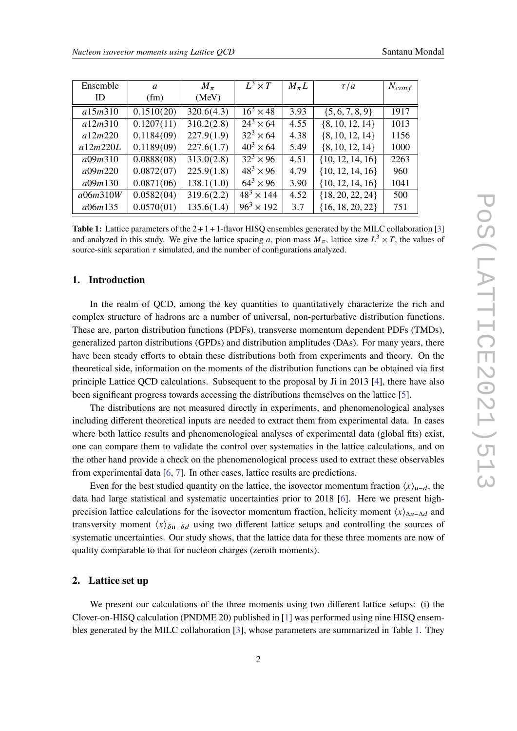<span id="page-1-0"></span>

| Ensemble | a                       | $M_{\pi}$  | $L^3 \times T$              | $M_{\pi}L$ | $\tau/a$             | $N_{conf}$ |
|----------|-------------------------|------------|-----------------------------|------------|----------------------|------------|
| ID       | (fm)                    | (MeV)      |                             |            |                      |            |
| a15m310  | 0.1510(20)              | 320.6(4.3) | $16^3 \times 48$            | 3.93       | $\{5, 6, 7, 8, 9\}$  | 1917       |
| a12m310  | $\overline{0.1207(11)}$ | 310.2(2.8) | $\sqrt{24^3 \times 64}$     | 4.55       | $\{8, 10, 12, 14\}$  | 1013       |
| a12m220  | 0.1184(09)              | 227.9(1.9) | $32^3 \times 64$            | 4.38       | $\{8, 10, 12, 14\}$  | 1156       |
| a12m220L | 0.1189(09)              | 227.6(1.7) | $40^3 \times 64$            | 5.49       | $\{8, 10, 12, 14\}$  | 1000       |
| a09m310  | 0.0888(08)              | 313.0(2.8) | $\overline{32^3} \times 96$ | 4.51       | $\{10, 12, 14, 16\}$ | 2263       |
| a09m220  | 0.0872(07)              | 225.9(1.8) | $48^3 \times 96$            | 4.79       | $\{10, 12, 14, 16\}$ | 960        |
| a09m130  | 0.0871(06)              | 138.1(1.0) | $64^3 \times 96$            | 3.90       | $\{10, 12, 14, 16\}$ | 1041       |
| a06m310W | 0.0582(04)              | 319.6(2.2) | $48^{3} \times 144$         | 4.52       | ${18, 20, 22, 24}$   | 500        |
| a06m135  | 0.0570(01)              | 135.6(1.4) | $96^3 \times 192$           | 3.7        | ${16, 18, 20, 22}$   | 751        |

**Table 1:** Lattice parameters of the  $2 + 1 + 1$ -flavor HISQ ensembles generated by the MILC collaboration [\[3\]](#page-8-2) and analyzed in this study. We give the lattice spacing a, pion mass  $M_{\pi}$ , lattice size  $L^3 \times T$ , the values of source-sink separation  $\tau$  simulated, and the number of configurations analyzed.

## **1. Introduction**

In the realm of OCD, among the key quantities to quantitatively characterize the rich and complex structure of hadrons are a number of universal, non-perturbative distribution functions. These are, parton distribution functions (PDFs), transverse momentum dependent PDFs (TMDs), generalized parton distributions (GPDs) and distribution amplitudes (DAs). For many years, there have been steady efforts to obtain these distributions both from experiments and theory. On the theoretical side, information on the moments of the distribution functions can be obtained via first principle Lattice QCD calculations. Subsequent to the proposal by Ji in 2013 [\[4\]](#page-8-3), there have also been significant progress towards accessing the distributions themselves on the lattice [\[5\]](#page-8-4).

The distributions are not measured directly in experiments, and phenomenological analyses including different theoretical inputs are needed to extract them from experimental data. In cases where both lattice results and phenomenological analyses of experimental data (global fits) exist, one can compare them to validate the control over systematics in the lattice calculations, and on the other hand provide a check on the phenomenological process used to extract these observables from experimental data [\[6,](#page-8-5) [7\]](#page-8-6). In other cases, lattice results are predictions.

Even for the best studied quantity on the lattice, the isovector momentum fraction  $\langle x \rangle_{\mu-d}$ , the data had large statistical and systematic uncertainties prior to 2018 [\[6\]](#page-8-5). Here we present highprecision lattice calculations for the isovector momentum fraction, helicity moment  $\langle x \rangle_{\Delta u - \Delta d}$  and transversity moment  $\langle x \rangle_{\delta u - \delta d}$  using two different lattice setups and controlling the sources of systematic uncertainties. Our study shows, that the lattice data for these three moments are now of quality comparable to that for nucleon charges (zeroth moments).

### **2. Lattice set up**

We present our calculations of the three moments using two different lattice setups: (i) the Clover-on-HISQ calculation (PNDME 20) published in [\[1\]](#page-8-0) was performed using nine HISQ ensembles generated by the MILC collaboration [\[3\]](#page-8-2), whose parameters are summarized in Table [1.](#page-1-0) They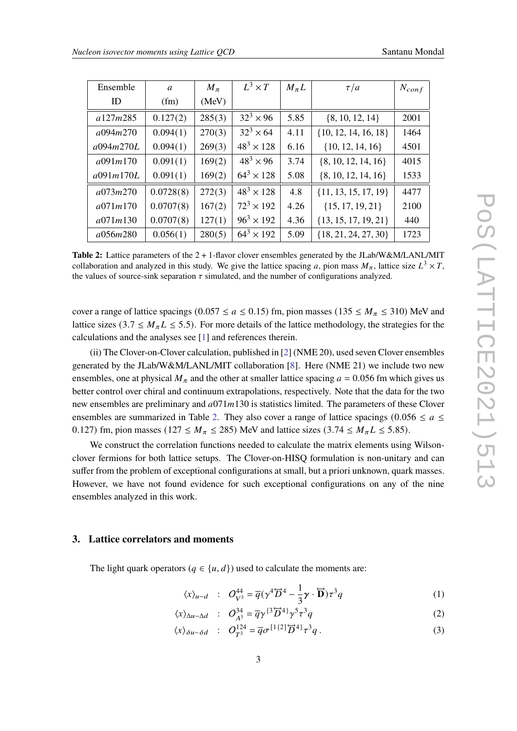<span id="page-2-0"></span>

| Ensemble  | a         | $M_{\pi}$ | $L^3 \times T$     | $M_{\pi}L$ | $\tau/a$                 | $N_{conf}$ |
|-----------|-----------|-----------|--------------------|------------|--------------------------|------------|
| ID        | (fm)      | (MeV)     |                    |            |                          |            |
| a127m285  | 0.127(2)  | 285(3)    | $32^3 \times 96$   | 5.85       | $\{8, 10, 12, 14\}$      | 2001       |
| a094m270  | 0.094(1)  | 270(3)    | $32^3 \times 64$   | 4.11       | $\{10, 12, 14, 16, 18\}$ | 1464       |
| a094m270L | 0.094(1)  | 269(3)    | $48^3 \times 128$  | 6.16       | $\{10, 12, 14, 16\}$     | 4501       |
| a091m170  | 0.091(1)  | 169(2)    | $48^{3} \times 96$ | 3.74       | $\{8, 10, 12, 14, 16\}$  | 4015       |
| a091m170L | 0.091(1)  | 169(2)    | $64^3 \times 128$  | 5.08       | $\{8, 10, 12, 14, 16\}$  | 1533       |
| a073m270  | 0.0728(8) | 272(3)    | $48^3 \times 128$  | 4.8        | $\{11, 13, 15, 17, 19\}$ | 4477       |
| a071m170  | 0.0707(8) | 167(2)    | $72^3 \times 192$  | 4.26       | ${15, 17, 19, 21}$       | 2100       |
| a071m130  | 0.0707(8) | 127(1)    | $96^3 \times 192$  | 4.36       | $\{13, 15, 17, 19, 21\}$ | 440        |
| a056m280  | 0.056(1)  | 280(5)    | $64^3 \times 192$  | 5.09       | ${18, 21, 24, 27, 30}$   | 1723       |

**Table 2:** Lattice parameters of the 2 + 1-flavor clover ensembles generated by the JLab/W&M/LANL/MIT collaboration and analyzed in this study. We give the lattice spacing a, pion mass  $M_{\pi}$ , lattice size  $L^3 \times T$ , the values of source-sink separation  $\tau$  simulated, and the number of configurations analyzed.

cover a range of lattice spacings (0.057  $\le a \le 0.15$ ) fm, pion masses (135  $\le M_\pi \le 310$ ) MeV and lattice sizes (3.7  $\leq M_{\pi}L \leq$  5.5). For more details of the lattice methodology, the strategies for the calculations and the analyses see [\[1\]](#page-8-0) and references therein.

(ii) The Clover-on-Clover calculation, published in [\[2\]](#page-8-1) (NME 20), used seven Clover ensembles generated by the JLab/W&M/LANL/MIT collaboration [\[8\]](#page-8-7). Here (NME 21) we include two new ensembles, one at physical  $M_{\pi}$  and the other at smaller lattice spacing  $a = 0.056$  fm which gives us better control over chiral and continuum extrapolations, respectively. Note that the data for the two new ensembles are preliminary and  $a071m130$  is statistics limited. The parameters of these Clover ensembles are summarized in Table [2.](#page-2-0) They also cover a range of lattice spacings (0.056  $\le a \le$ 0.127) fm, pion masses (127  $\leq M_{\pi} \leq$  285) MeV and lattice sizes (3.74  $\leq M_{\pi}L \leq$  5.85).

We construct the correlation functions needed to calculate the matrix elements using Wilsonclover fermions for both lattice setups. The Clover-on-HISQ formulation is non-unitary and can suffer from the problem of exceptional configurations at small, but a priori unknown, quark masses. However, we have not found evidence for such exceptional configurations on any of the nine ensembles analyzed in this work.

## **3. Lattice correlators and moments**

The light quark operators ( $q \in \{u, d\}$ ) used to calculate the moments are:

$$
\langle x \rangle_{u-d} \quad : \quad O_{V^3}^{44} = \overline{q}(\gamma^4 \overleftrightarrow{D}^4 - \frac{1}{3}\gamma \cdot \overleftrightarrow{D})\tau^3 q \tag{1}
$$

$$
\langle x \rangle_{\Delta u - \Delta d} \quad : \quad O_{A^3}^{34} = \overline{q} \gamma^{3} \overleftrightarrow{D}^4 \gamma^5 \tau^3 q \tag{2}
$$

$$
\langle x \rangle_{\delta u - \delta d} \quad : \quad O_{T^3}^{124} = \overline{q} \sigma^{[1\{2\}\overleftrightarrow{D}^4]} \tau^3 q \,. \tag{3}
$$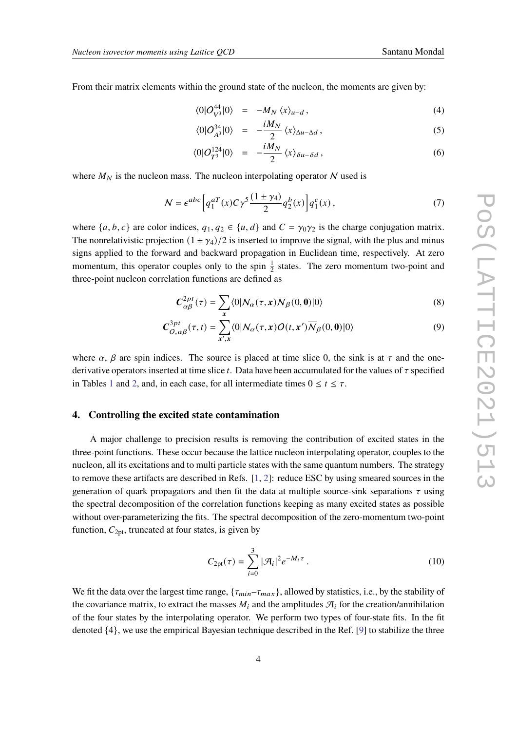From their matrix elements within the ground state of the nucleon, the moments are given by:

$$
\langle 0|O_{V^3}^{44}|0\rangle = -M_N \langle x \rangle_{u-d},\qquad(4)
$$

$$
\langle 0|O_{A^3}^{34}|0\rangle = -\frac{iM_N}{2}\langle x\rangle_{\Delta u - \Delta d},\qquad(5)
$$

$$
\langle 0|O_{T^3}^{124}|0\rangle = -\frac{iM_N}{2}\langle x\rangle_{\delta u - \delta d},\qquad (6)
$$

where  $M_N$  is the nucleon mass. The nucleon interpolating operator N used is

$$
\mathcal{N} = \epsilon^{abc} \left[ q_1^{aT}(x) C \gamma^5 \frac{(1 \pm \gamma_4)}{2} q_2^b(x) \right] q_1^c(x) , \qquad (7)
$$

where  $\{a, b, c\}$  are color indices,  $q_1, q_2 \in \{u, d\}$  and  $C = \gamma_0 \gamma_2$  is the charge conjugation matrix. The nonrelativistic projection  $(1 \pm \gamma_4)/2$  is inserted to improve the signal, with the plus and minus signs applied to the forward and backward propagation in Euclidean time, respectively. At zero momentum, this operator couples only to the spin  $\frac{1}{2}$  states. The zero momentum two-point and three-point nucleon correlation functions are defined as

$$
C_{\alpha\beta}^{2pt}(\tau) = \sum_{x} \langle 0 | N_{\alpha}(\tau, x) \overline{N}_{\beta}(0, 0) | 0 \rangle \tag{8}
$$

$$
C_{O,\alpha\beta}^{3pt}(\tau,t) = \sum_{x',x} \langle 0|N_{\alpha}(\tau,x)O(t,x')\overline{N}_{\beta}(0,0)|0\rangle
$$
 (9)

where  $\alpha$ ,  $\beta$  are spin indices. The source is placed at time slice 0, the sink is at  $\tau$  and the onederivative operators inserted at time slice  $t$ . Data have been accumulated for the values of  $\tau$  specified in Tables [1](#page-1-0) and [2,](#page-2-0) and, in each case, for all intermediate times  $0 \le t \le \tau$ .

### **4. Controlling the excited state contamination**

A major challenge to precision results is removing the contribution of excited states in the three-point functions. These occur because the lattice nucleon interpolating operator, couples to the nucleon, all its excitations and to multi particle states with the same quantum numbers. The strategy to remove these artifacts are described in Refs. [\[1,](#page-8-0) [2\]](#page-8-1): reduce ESC by using smeared sources in the generation of quark propagators and then fit the data at multiple source-sink separations  $\tau$  using the spectral decomposition of the correlation functions keeping as many excited states as possible without over-parameterizing the fits. The spectral decomposition of the zero-momentum two-point function,  $C_{2pt}$ , truncated at four states, is given by

<span id="page-3-0"></span>
$$
C_{2\text{pt}}(\tau) = \sum_{i=0}^{3} |\mathcal{A}_i|^2 e^{-M_i \tau} . \tag{10}
$$

We fit the data over the largest time range,  $\{\tau_{min} - \tau_{max}\}\$ , allowed by statistics, i.e., by the stability of the covariance matrix, to extract the masses  $M_i$  and the amplitudes  $\mathcal{A}_i$  for the creation/annihilation of the four states by the interpolating operator. We perform two types of four-state fits. In the fit denoted {4}, we use the empirical Bayesian technique described in the Ref. [\[9\]](#page-8-8) to stabilize the three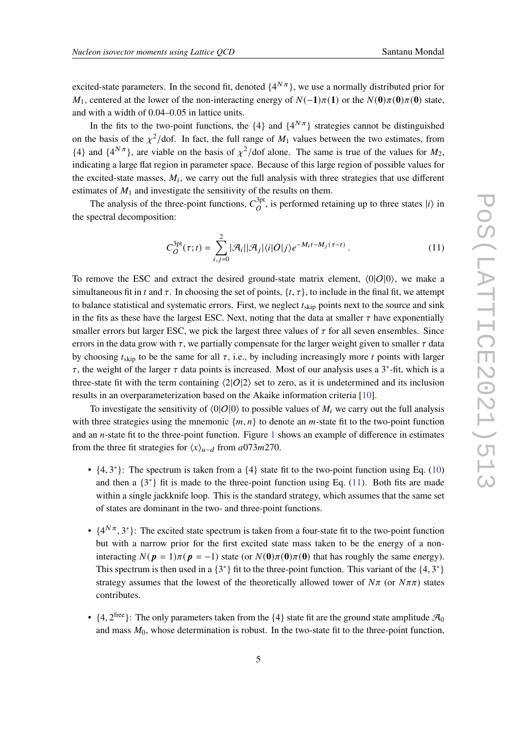excited-state parameters. In the second fit, denoted  $\{4^{N\pi}\}\$ , we use a normally distributed prior for  $M_1$ , centered at the lower of the non-interacting energy of  $N(-1)\pi(1)$  or the  $N(0)\pi(0)\pi(0)$  state, and with a width of 0.04–0.05 in lattice units.

In the fits to the two-point functions, the  $\{4\}$  and  $\{4^{N\pi}\}$  strategies cannot be distinguished on the basis of the  $\chi^2$ /dof. In fact, the full range of  $M_1$  values between the two estimates, from  $\{4\}$  and  $\{4^{N\pi}\}\$ , are viable on the basis of  $\chi^2$ /dof alone. The same is true of the values for  $M_2$ , indicating a large flat region in parameter space. Because of this large region of possible values for the excited-state masses,  $M_i$ , we carry out the full analysis with three strategies that use different estimates of  $M_1$  and investigate the sensitivity of the results on them.

The analysis of the three-point functions,  $C_Q^{3pt}$  $O<sup>3pt</sup>$ , is performed retaining up to three states  $|i\rangle$  in the spectral decomposition:

<span id="page-4-0"></span>
$$
C_O^{\text{3pt}}(\tau;t) = \sum_{i,j=0}^2 |\mathcal{A}_i||\mathcal{A}_j|\langle i|O|j\rangle e^{-M_i t - M_j(\tau - t)}.
$$
\n(11)

To remove the ESC and extract the desired ground-state matrix element,  $\langle 0|O|0\rangle$ , we make a simultaneous fit in t and  $\tau$ . In choosing the set of points,  $\{t, \tau\}$ , to include in the final fit, we attempt to balance statistical and systematic errors. First, we neglect  $t_{skip}$  points next to the source and sink in the fits as these have the largest ESC. Next, noting that the data at smaller  $\tau$  have exponentially smaller errors but larger ESC, we pick the largest three values of  $\tau$  for all seven ensembles. Since errors in the data grow with  $\tau$ , we partially compensate for the larger weight given to smaller  $\tau$  data by choosing  $t_{skip}$  to be the same for all  $\tau$ , i.e., by including increasingly more  $t$  points with larger  $\tau$ , the weight of the larger  $\tau$  data points is increased. Most of our analysis uses a 3<sup>\*</sup>-fit, which is a three-state fit with the term containing  $\langle 2|O|2\rangle$  set to zero, as it is undetermined and its inclusion results in an overparameterization based on the Akaike information criteria [\[10\]](#page-8-9).

To investigate the sensitivity of  $\langle 0|O|0\rangle$  to possible values of  $M_i$  we carry out the full analysis with three strategies using the mnemonic  $\{m, n\}$  to denote an *m*-state fit to the two-point function and an  $n$ -state fit to the three-point function. Figure [1](#page-5-0) shows an example of difference in estimates from the three fit strategies for  $\langle x \rangle_{u-d}$  from a073m270.

- $\{4, 3^*\}$ : The spectrum is taken from a  $\{4\}$  state fit to the two-point function using Eq. [\(10\)](#page-3-0) and then a  $\{3^*\}$  fit is made to the three-point function using Eq. [\(11\)](#page-4-0). Both fits are made within a single jackknife loop. This is the standard strategy, which assumes that the same set of states are dominant in the two- and three-point functions.
- $\{4^{N\pi}, 3^*\}$ : The excited state spectrum is taken from a four-state fit to the two-point function but with a narrow prior for the first excited state mass taken to be the energy of a noninteracting  $N(p = 1)\pi(p = -1)$  state (or  $N(0)\pi(0)\pi(0)$ ) that has roughly the same energy). This spectrum is then used in a  $\{3^*\}$  fit to the three-point function. This variant of the  $\{4, 3^*\}$ strategy assumes that the lowest of the theoretically allowed tower of  $N\pi$  (or  $N\pi\pi$ ) states contributes.
- $\{4, 2^{\text{free}}\}$ : The only parameters taken from the  $\{4\}$  state fit are the ground state amplitude  $\mathcal{A}_0$ and mass  $M_0$ , whose determination is robust. In the two-state fit to the three-point function,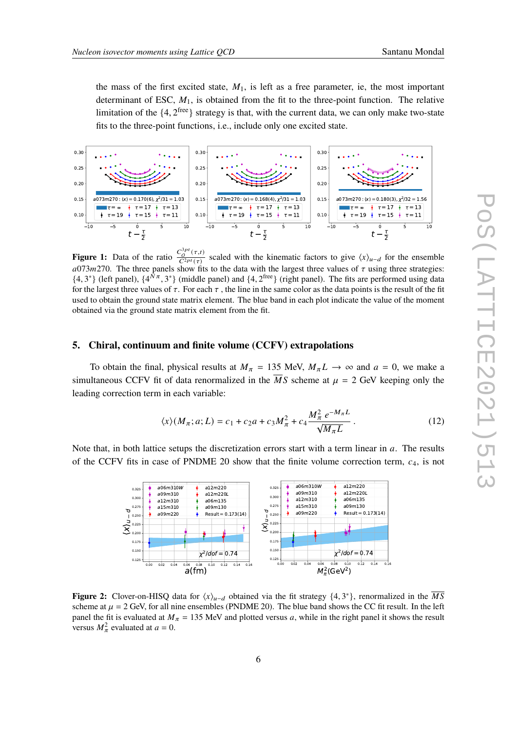the mass of the first excited state,  $M_1$ , is left as a free parameter, ie, the most important determinant of ESC,  $M_1$ , is obtained from the fit to the three-point function. The relative limitation of the  $\{4, 2^{\text{free}}\}$  strategy is that, with the current data, we can only make two-state fits to the three-point functions, i.e., include only one excited state.

<span id="page-5-0"></span>

**Figure 1:** Data of the ratio  $\frac{C_O^{3pt}(\tau,t)}{C_O^{2pt}(\tau)}$  $\frac{c_0^{(1)}(t,t)}{C^{2pt}(\tau)}$  scaled with the kinematic factors to give  $\langle x \rangle_{u-d}$  for the ensemble  $a073m270$ . The three panels show fits to the data with the largest three values of  $\tau$  using three strategies:  $\{4,3^*\}$  (left panel),  $\{4^{\tilde{N}\pi},3^*\}$  (middle panel) and  $\{4,2^{\text{free}}\}$  (right panel). The fits are performed using data for the largest three values of  $\tau$ . For each  $\tau$ , the line in the same color as the data points is the result of the fit used to obtain the ground state matrix element. The blue band in each plot indicate the value of the moment obtained via the ground state matrix element from the fit.

#### **5. Chiral, continuum and finite volume (CCFV) extrapolations**

To obtain the final, physical results at  $M_{\pi} = 135$  MeV,  $M_{\pi}L \rightarrow \infty$  and  $a = 0$ , we make a simultaneous CCFV fit of data renormalized in the  $\overline{MS}$  scheme at  $\mu = 2$  GeV keeping only the leading correction term in each variable:

<span id="page-5-1"></span>
$$
\langle x \rangle (M_{\pi}; a; L) = c_1 + c_2 a + c_3 M_{\pi}^2 + c_4 \frac{M_{\pi}^2 e^{-M_{\pi} L}}{\sqrt{M_{\pi} L}}.
$$
 (12)

<span id="page-5-2"></span>Note that, in both lattice setups the discretization errors start with a term linear in  $a$ . The results of the CCFV fits in case of PNDME 20 show that the finite volume correction term,  $c_4$ , is not



**Figure 2:** Clover-on-HISQ data for  $\langle x \rangle_{u-d}$  obtained via the fit strategy  $\{4, 3^*\}$ , renormalized in the  $\overline{MS}$ scheme at  $\mu = 2$  GeV, for all nine ensembles (PNDME 20). The blue band shows the CC fit result. In the left panel the fit is evaluated at  $M_{\pi} = 135$  MeV and plotted versus a, while in the right panel it shows the result versus  $M_{\pi}^2$  evaluated at  $a = 0$ .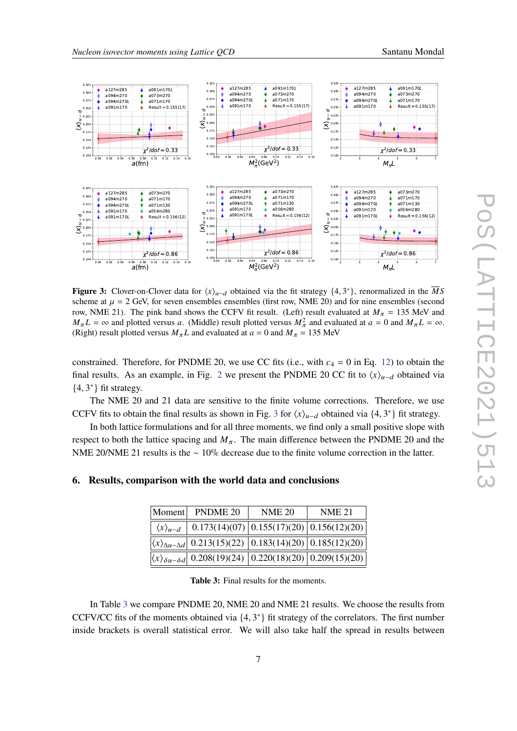<span id="page-6-0"></span>

**Figure 3:** Clover-on-Clover data for  $\langle x \rangle_{u-d}$  obtained via the fit strategy  $\{4, 3^*\}$ , renormalized in the  $\overline{M}S$ scheme at  $\mu = 2$  GeV, for seven ensembles ensembles (first row, NME 20) and for nine ensembles (second row, NME 21). The pink band shows the CCFV fit result. (Left) result evaluated at  $M_{\pi} = 135$  MeV and  $M_{\pi}L = \infty$  and plotted versus a. (Middle) result plotted versus  $M_{\pi}^2$  and evaluated at  $a = 0$  and  $M_{\pi}L = \infty$ . (Right) result plotted versus  $M_{\pi}L$  and evaluated at  $a = 0$  and  $M_{\pi} = 135$  MeV

constrained. Therefore, for PNDME 20, we use CC fits (i.e., with  $c_4 = 0$  in Eq. [12\)](#page-5-1) to obtain the final results. As an example, in Fig. [2](#page-5-2) we present the PNDME 20 CC fit to  $\langle x \rangle_{\mu-d}$  obtained via  ${4, 3^*}$  fit strategy.

The NME 20 and 21 data are sensitive to the finite volume corrections. Therefore, we use CCFV fits to obtain the final results as shown in Fig. [3](#page-6-0) for  $\langle x \rangle_{u-d}$  obtained via  $\{4, 3^*\}$  fit strategy.

In both lattice formulations and for all three moments, we find only a small positive slope with respect to both the lattice spacing and  $M_{\pi}$ . The main difference between the PNDME 20 and the NME 20/NME 21 results is the ∼ 10% decrease due to the finite volume correction in the latter.

## <span id="page-6-1"></span>**6. Results, comparison with the world data and conclusions**

|                           | Moment PNDME 20                                                                                                | <b>NME 20</b> | <b>NME 21</b>                                   |
|---------------------------|----------------------------------------------------------------------------------------------------------------|---------------|-------------------------------------------------|
| $\langle x \rangle_{u-d}$ |                                                                                                                |               | $0.173(14)(07)$ $0.155(17)(20)$ $0.156(12)(20)$ |
|                           | $\left \langle x \rangle_{\Delta u - \Delta d}\right $ 0.213(15)(22) $\left 0.183(14)(20)\right 0.185(12)(20)$ |               |                                                 |
|                           | $\left \langle x \rangle_{\delta u-\delta d}\right $ 0.208(19)(24) $\left 0.220(18)(20)\right 0.209(15)(20)$   |               |                                                 |

**Table 3:** Final results for the moments.

In Table [3](#page-6-1) we compare PNDME 20, NME 20 and NME 21 results. We choose the results from CCFV/CC fits of the moments obtained via  $\{4, 3^*\}$  fit strategy of the correlators. The first number inside brackets is overall statistical error. We will also take half the spread in results between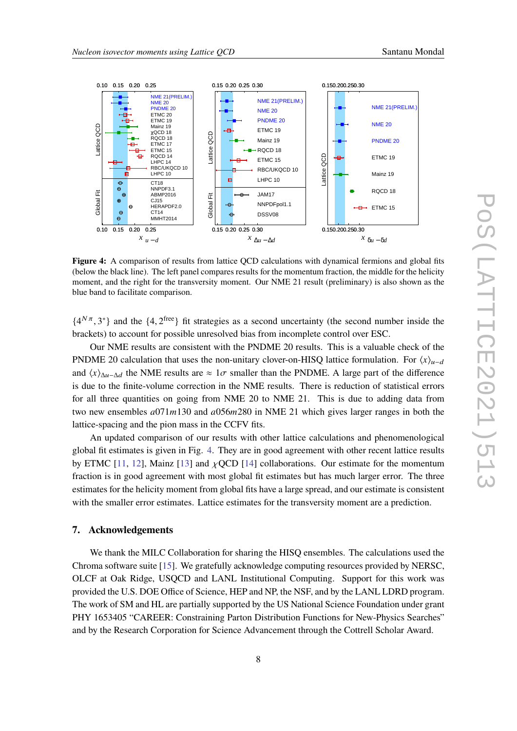<span id="page-7-0"></span>

Figure 4: A comparison of results from lattice QCD calculations with dynamical fermions and global fits (below the black line). The left panel compares results for the momentum fraction, the middle for the helicity moment, and the right for the transversity moment. Our NME 21 result (preliminary) is also shown as the blue band to facilitate comparison.

 $\{4^{N\pi}, 3^*\}$  and the  $\{4, 2^{\text{free}}\}$  fit strategies as a second uncertainty (the second number inside the brackets) to account for possible unresolved bias from incomplete control over ESC.

Our NME results are consistent with the PNDME 20 results. This is a valuable check of the PNDME 20 calculation that uses the non-unitary clover-on-HISQ lattice formulation. For  $\langle x \rangle_{\mu-d}$ and  $\langle x \rangle_{\Delta u - \Delta d}$  the NME results are  $\approx 1\sigma$  smaller than the PNDME. A large part of the difference is due to the finite-volume correction in the NME results. There is reduction of statistical errors for all three quantities on going from NME 20 to NME 21. This is due to adding data from two new ensembles  $a(071m130)$  and  $a(056m280)$  in NME 21 which gives larger ranges in both the lattice-spacing and the pion mass in the CCFV fits.

An updated comparison of our results with other lattice calculations and phenomenological global fit estimates is given in Fig. [4.](#page-7-0) They are in good agreement with other recent lattice results by ETMC [\[11,](#page-8-10) [12\]](#page-8-11), Mainz [\[13\]](#page-8-12) and  $\chi$ QCD [\[14\]](#page-8-13) collaborations. Our estimate for the momentum fraction is in good agreement with most global fit estimates but has much larger error. The three estimates for the helicity moment from global fits have a large spread, and our estimate is consistent with the smaller error estimates. Lattice estimates for the transversity moment are a prediction.

## **7. Acknowledgements**

We thank the MILC Collaboration for sharing the HISQ ensembles. The calculations used the Chroma software suite [\[15\]](#page-8-14). We gratefully acknowledge computing resources provided by NERSC, OLCF at Oak Ridge, USQCD and LANL Institutional Computing. Support for this work was provided the U.S. DOE Office of Science, HEP and NP, the NSF, and by the LANL LDRD program. The work of SM and HL are partially supported by the US National Science Foundation under grant PHY 1653405 "CAREER: Constraining Parton Distribution Functions for New-Physics Searches" and by the Research Corporation for Science Advancement through the Cottrell Scholar Award.